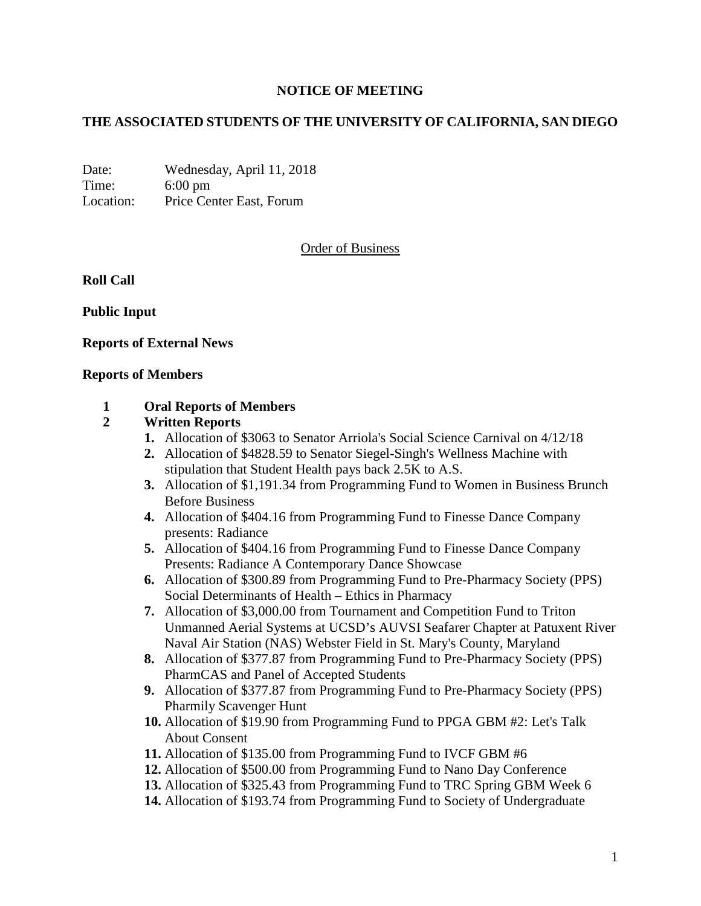# **NOTICE OF MEETING**

# **THE ASSOCIATED STUDENTS OF THE UNIVERSITY OF CALIFORNIA, SAN DIEGO**

Date: Wednesday, April 11, 2018 Time: 6:00 pm Location: Price Center East, Forum

# Order of Business

**Roll Call**

**Public Input**

### **Reports of External News**

### **Reports of Members**

## **1 Oral Reports of Members**

## **2 Written Reports**

- **1.** Allocation of \$3063 to Senator Arriola's Social Science Carnival on 4/12/18
- **2.** Allocation of \$4828.59 to Senator Siegel-Singh's Wellness Machine with stipulation that Student Health pays back 2.5K to A.S.
- **3.** Allocation of \$1,191.34 from Programming Fund to Women in Business Brunch Before Business
- **4.** Allocation of \$404.16 from Programming Fund to Finesse Dance Company presents: Radiance
- **5.** Allocation of \$404.16 from Programming Fund to Finesse Dance Company Presents: Radiance A Contemporary Dance Showcase
- **6.** Allocation of \$300.89 from Programming Fund to Pre-Pharmacy Society (PPS) Social Determinants of Health – Ethics in Pharmacy
- **7.** Allocation of \$3,000.00 from Tournament and Competition Fund to Triton Unmanned Aerial Systems at UCSD's AUVSI Seafarer Chapter at Patuxent River Naval Air Station (NAS) Webster Field in St. Mary's County, Maryland
- **8.** Allocation of \$377.87 from Programming Fund to Pre-Pharmacy Society (PPS) PharmCAS and Panel of Accepted Students
- **9.** Allocation of \$377.87 from Programming Fund to Pre-Pharmacy Society (PPS) Pharmily Scavenger Hunt
- **10.** Allocation of \$19.90 from Programming Fund to PPGA GBM #2: Let's Talk About Consent
- **11.** Allocation of \$135.00 from Programming Fund to IVCF GBM #6
- **12.** Allocation of \$500.00 from Programming Fund to Nano Day Conference
- **13.** Allocation of \$325.43 from Programming Fund to TRC Spring GBM Week 6
- **14.** Allocation of \$193.74 from Programming Fund to Society of Undergraduate